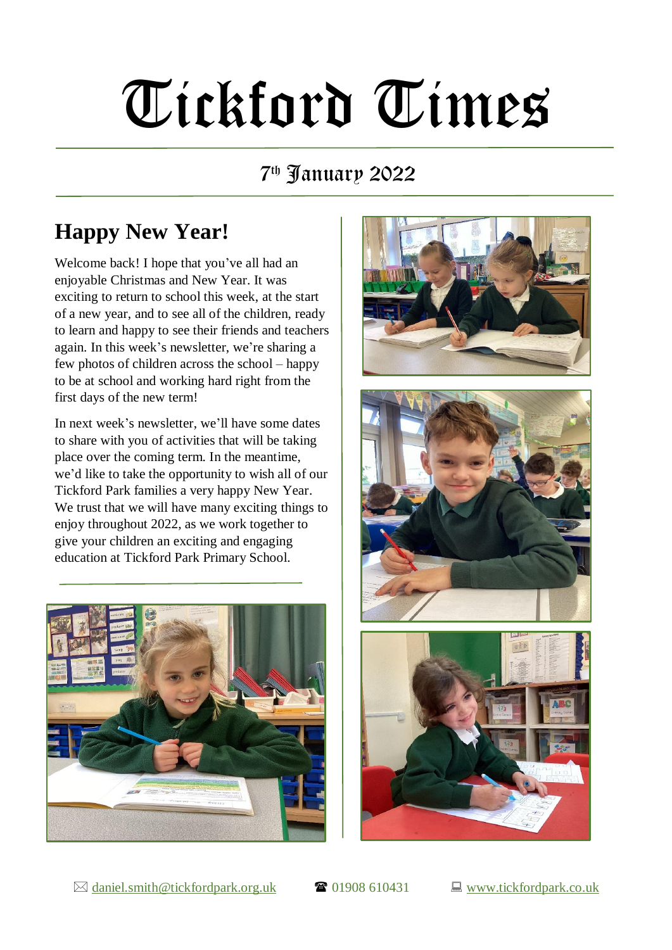# Tickford Times

#### 7 th January 2022

## **Happy New Year!**

Welcome back! I hope that you've all had an enjoyable Christmas and New Year. It was exciting to return to school this week, at the start of a new year, and to see all of the children, ready to learn and happy to see their friends and teachers again. In this week's newsletter, we're sharing a few photos of children across the school – happy to be at school and working hard right from the first days of the new term!

In next week's newsletter, we'll have some dates to share with you of activities that will be taking place over the coming term. In the meantime, we'd like to take the opportunity to wish all of our Tickford Park families a very happy New Year. We trust that we will have many exciting things to enjoy throughout 2022, as we work together to give your children an exciting and engaging education at Tickford Park Primary School.